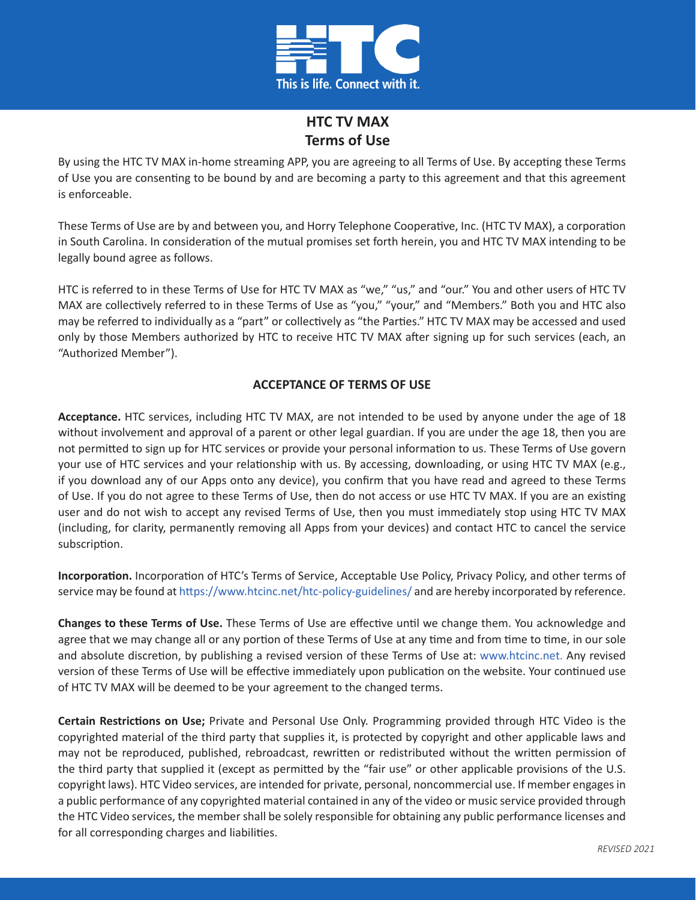

# **HTC TV MAX Terms of Use**

By using the HTC TV MAX in-home streaming APP, you are agreeing to all Terms of Use. By accepting these Terms of Use you are consenting to be bound by and are becoming a party to this agreement and that this agreement is enforceable.

These Terms of Use are by and between you, and Horry Telephone Cooperative, Inc. (HTC TV MAX), a corporation in South Carolina. In consideration of the mutual promises set forth herein, you and HTC TV MAX intending to be legally bound agree as follows.

HTC is referred to in these Terms of Use for HTC TV MAX as "we," "us," and "our." You and other users of HTC TV MAX are collectively referred to in these Terms of Use as "you," "your," and "Members." Both you and HTC also may be referred to individually as a "part" or collectively as "the Parties." HTC TV MAX may be accessed and used only by those Members authorized by HTC to receive HTC TV MAX after signing up for such services (each, an "Authorized Member").

# **ACCEPTANCE OF TERMS OF USE**

**Acceptance.** HTC services, including HTC TV MAX, are not intended to be used by anyone under the age of 18 without involvement and approval of a parent or other legal guardian. If you are under the age 18, then you are not permitted to sign up for HTC services or provide your personal information to us. These Terms of Use govern your use of HTC services and your relationship with us. By accessing, downloading, or using HTC TV MAX (e.g., if you download any of our Apps onto any device), you confirm that you have read and agreed to these Terms of Use. If you do not agree to these Terms of Use, then do not access or use HTC TV MAX. If you are an existing user and do not wish to accept any revised Terms of Use, then you must immediately stop using HTC TV MAX (including, for clarity, permanently removing all Apps from your devices) and contact HTC to cancel the service subscription.

**Incorporation.** Incorporation of HTC's Terms of Service, Acceptable Use Policy, Privacy Policy, and other terms of service may be found at [https://www.htcinc.net/htc-policy-guidelines/ an](https://www.htcinc.net/htc-policy-guidelines/)d are hereby incorporated by reference.

**Changes to these Terms of Use.** These Terms of Use are effective until we change them. You acknowledge and agree that we may change all or any portion of these Terms of Use at any time and from time to time, in our sole and absolute discretion, by publishing a revised version of these Terms of Use at: [www.htcinc.net. An](http://www.htcinc.net)y revised version of these Terms of Use will be effective immediately upon publication on the website. Your continued use of HTC TV MAX will be deemed to be your agreement to the changed terms.

**Certain Restrictions on Use;** Private and Personal Use Only. Programming provided through HTC Video is the copyrighted material of the third party that supplies it, is protected by copyright and other applicable laws and may not be reproduced, published, rebroadcast, rewritten or redistributed without the written permission of the third party that supplied it (except as permitted by the "fair use" or other applicable provisions of the U.S. copyright laws). HTC Video services, are intended for private, personal, noncommercial use. If member engages in a public performance of any copyrighted material contained in any of the video or music service provided through the HTC Video services, the member shall be solely responsible for obtaining any public performance licenses and for all corresponding charges and liabilities.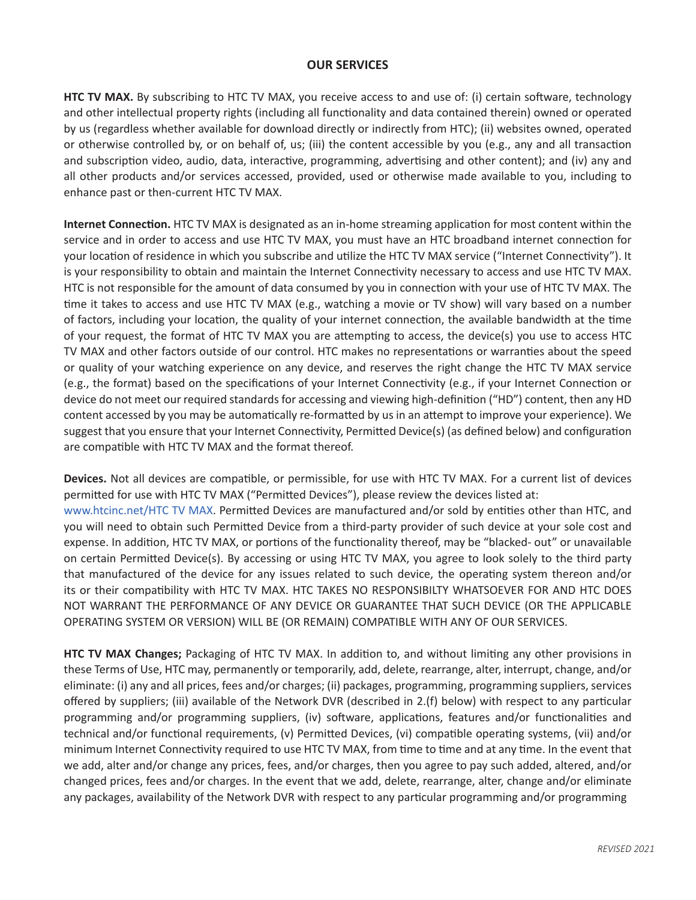## **OUR SERVICES**

**HTC TV MAX.** By subscribing to HTC TV MAX, you receive access to and use of: (i) certain software, technology and other intellectual property rights (including all functionality and data contained therein) owned or operated by us (regardless whether available for download directly or indirectly from HTC); (ii) websites owned, operated or otherwise controlled by, or on behalf of, us; (iii) the content accessible by you (e.g., any and all transaction and subscription video, audio, data, interactive, programming, advertising and other content); and (iv) any and all other products and/or services accessed, provided, used or otherwise made available to you, including to enhance past or then-current HTC TV MAX.

**Internet Connection.** HTC TV MAX is designated as an in-home streaming application for most content within the service and in order to access and use HTC TV MAX, you must have an HTC broadband internet connection for your location of residence in which you subscribe and utilize the HTC TV MAX service ("Internet Connectivity"). It is your responsibility to obtain and maintain the Internet Connectivity necessary to access and use HTC TV MAX. HTC is not responsible for the amount of data consumed by you in connection with your use of HTC TV MAX. The time it takes to access and use HTC TV MAX (e.g., watching a movie or TV show) will vary based on a number of factors, including your location, the quality of your internet connection, the available bandwidth at the time of your request, the format of HTC TV MAX you are attempting to access, the device(s) you use to access HTC TV MAX and other factors outside of our control. HTC makes no representations or warranties about the speed or quality of your watching experience on any device, and reserves the right change the HTC TV MAX service (e.g., the format) based on the specifications of your Internet Connectivity (e.g., if your Internet Connection or device do not meet our required standards for accessing and viewing high-definition ("HD") content, then any HD content accessed by you may be automatically re-formatted by us in an attempt to improve your experience). We suggest that you ensure that your Internet Connectivity, Permitted Device(s) (as defined below) and configuration are compatible with HTC TV MAX and the format thereof.

**Devices.** Not all devices are compatible, or permissible, for use with HTC TV MAX. For a current list of devices permitted for use with HTC TV MAX ("Permitted Devices"), please review the devices listed at: [www.htcinc.net/HTC TV](http://www.htcinc.net/HTC) MAX. Permitted Devices are manufactured and/or sold by entities other than HTC, and you will need to obtain such Permitted Device from a third-party provider of such device at your sole cost and expense. In addition, HTC TV MAX, or portions of the functionality thereof, may be "blacked- out" or unavailable on certain Permitted Device(s). By accessing or using HTC TV MAX, you agree to look solely to the third party that manufactured of the device for any issues related to such device, the operating system thereon and/or its or their compatibility with HTC TV MAX. HTC TAKES NO RESPONSIBILTY WHATSOEVER FOR AND HTC DOES NOT WARRANT THE PERFORMANCE OF ANY DEVICE OR GUARANTEE THAT SUCH DEVICE (OR THE APPLICABLE OPERATING SYSTEM OR VERSION) WILL BE (OR REMAIN) COMPATIBLE WITH ANY OF OUR SERVICES.

**HTC TV MAX Changes;** Packaging of HTC TV MAX. In addition to, and without limiting any other provisions in these Terms of Use, HTC may, permanently or temporarily, add, delete, rearrange, alter, interrupt, change, and/or eliminate: (i) any and all prices, fees and/or charges; (ii) packages, programming, programming suppliers, services offered by suppliers; (iii) available of the Network DVR (described in 2.(f) below) with respect to any particular programming and/or programming suppliers, (iv) software, applications, features and/or functionalities and technical and/or functional requirements, (v) Permitted Devices, (vi) compatible operating systems, (vii) and/or minimum Internet Connectivity required to use HTC TV MAX, from time to time and at any time. In the event that we add, alter and/or change any prices, fees, and/or charges, then you agree to pay such added, altered, and/or changed prices, fees and/or charges. In the event that we add, delete, rearrange, alter, change and/or eliminate any packages, availability of the Network DVR with respect to any particular programming and/or programming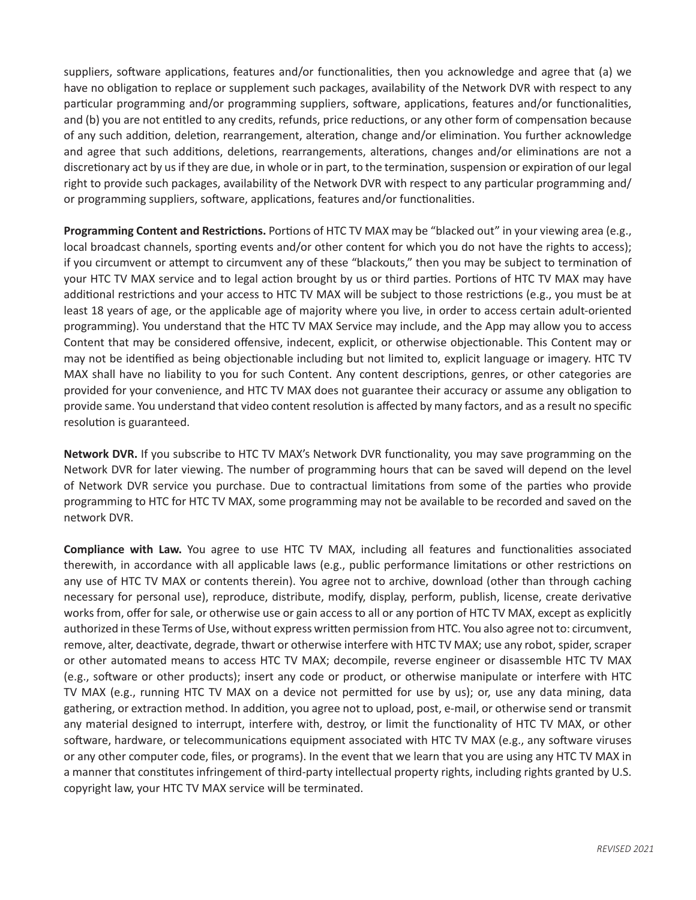suppliers, software applications, features and/or functionalities, then you acknowledge and agree that (a) we have no obligation to replace or supplement such packages, availability of the Network DVR with respect to any particular programming and/or programming suppliers, software, applications, features and/or functionalities, and (b) you are not entitled to any credits, refunds, price reductions, or any other form of compensation because of any such addition, deletion, rearrangement, alteration, change and/or elimination. You further acknowledge and agree that such additions, deletions, rearrangements, alterations, changes and/or eliminations are not a discretionary act by us if they are due, in whole or in part, to the termination, suspension or expiration of our legal right to provide such packages, availability of the Network DVR with respect to any particular programming and/ or programming suppliers, software, applications, features and/or functionalities.

**Programming Content and Restrictions.** Portions of HTC TV MAX may be "blacked out" in your viewing area (e.g., local broadcast channels, sporting events and/or other content for which you do not have the rights to access); if you circumvent or attempt to circumvent any of these "blackouts," then you may be subject to termination of your HTC TV MAX service and to legal action brought by us or third parties. Portions of HTC TV MAX may have additional restrictions and your access to HTC TV MAX will be subject to those restrictions (e.g., you must be at least 18 years of age, or the applicable age of majority where you live, in order to access certain adult-oriented programming). You understand that the HTC TV MAX Service may include, and the App may allow you to access Content that may be considered offensive, indecent, explicit, or otherwise objectionable. This Content may or may not be identified as being objectionable including but not limited to, explicit language or imagery. HTC TV MAX shall have no liability to you for such Content. Any content descriptions, genres, or other categories are provided for your convenience, and HTC TV MAX does not guarantee their accuracy or assume any obligation to provide same. You understand that video content resolution is affected by many factors, and as a result no specific resolution is guaranteed.

**Network DVR.** If you subscribe to HTC TV MAX's Network DVR functionality, you may save programming on the Network DVR for later viewing. The number of programming hours that can be saved will depend on the level of Network DVR service you purchase. Due to contractual limitations from some of the parties who provide programming to HTC for HTC TV MAX, some programming may not be available to be recorded and saved on the network DVR.

**Compliance with Law.** You agree to use HTC TV MAX, including all features and functionalities associated therewith, in accordance with all applicable laws (e.g., public performance limitations or other restrictions on any use of HTC TV MAX or contents therein). You agree not to archive, download (other than through caching necessary for personal use), reproduce, distribute, modify, display, perform, publish, license, create derivative works from, offer for sale, or otherwise use or gain access to all or any portion of HTC TV MAX, except as explicitly authorized in these Terms of Use, without express written permission from HTC. You also agree not to: circumvent, remove, alter, deactivate, degrade, thwart or otherwise interfere with HTC TV MAX; use any robot, spider, scraper or other automated means to access HTC TV MAX; decompile, reverse engineer or disassemble HTC TV MAX (e.g., software or other products); insert any code or product, or otherwise manipulate or interfere with HTC TV MAX (e.g., running HTC TV MAX on a device not permitted for use by us); or, use any data mining, data gathering, or extraction method. In addition, you agree not to upload, post, e-mail, or otherwise send or transmit any material designed to interrupt, interfere with, destroy, or limit the functionality of HTC TV MAX, or other software, hardware, or telecommunications equipment associated with HTC TV MAX (e.g., any software viruses or any other computer code, files, or programs). In the event that we learn that you are using any HTC TV MAX in a manner that constitutes infringement of third-party intellectual property rights, including rights granted by U.S. copyright law, your HTC TV MAX service will be terminated.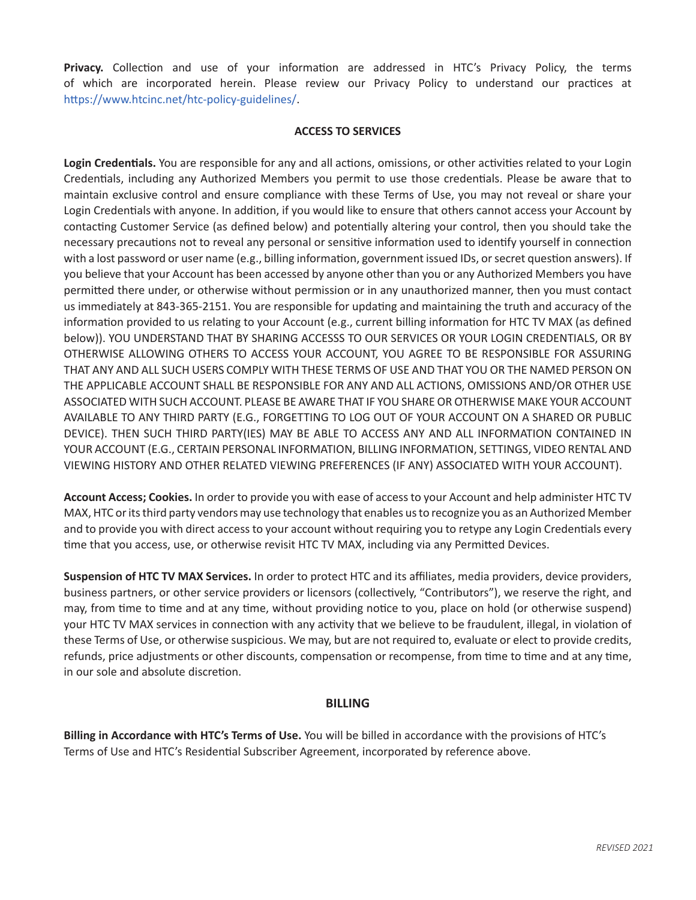**Privacy.** Collection and use of your information are addressed in HTC's Privacy Policy, the terms of which are incorporated herein. Please review our Privacy Policy to understand our practices at <https://www.htcinc.net/htc-policy-guidelines/>.

#### **ACCESS TO SERVICES**

**Login Credentials.** You are responsible for any and all actions, omissions, or other activities related to your Login Credentials, including any Authorized Members you permit to use those credentials. Please be aware that to maintain exclusive control and ensure compliance with these Terms of Use, you may not reveal or share your Login Credentials with anyone. In addition, if you would like to ensure that others cannot access your Account by contacting Customer Service (as defined below) and potentially altering your control, then you should take the necessary precautions not to reveal any personal or sensitive information used to identify yourself in connection with a lost password or user name (e.g., billing information, government issued IDs, or secret question answers). If you believe that your Account has been accessed by anyone other than you or any Authorized Members you have permitted there under, or otherwise without permission or in any unauthorized manner, then you must contact us immediately at 843-365-2151. You are responsible for updating and maintaining the truth and accuracy of the information provided to us relating to your Account (e.g., current billing information for HTC TV MAX (as defined below)). YOU UNDERSTAND THAT BY SHARING ACCESSS TO OUR SERVICES OR YOUR LOGIN CREDENTIALS, OR BY OTHERWISE ALLOWING OTHERS TO ACCESS YOUR ACCOUNT, YOU AGREE TO BE RESPONSIBLE FOR ASSURING THAT ANY AND ALL SUCH USERS COMPLY WITH THESE TERMS OF USE AND THAT YOU OR THE NAMED PERSON ON THE APPLICABLE ACCOUNT SHALL BE RESPONSIBLE FOR ANY AND ALL ACTIONS, OMISSIONS AND/OR OTHER USE ASSOCIATED WITH SUCH ACCOUNT. PLEASE BE AWARE THAT IF YOU SHARE OR OTHERWISE MAKE YOUR ACCOUNT AVAILABLE TO ANY THIRD PARTY (E.G., FORGETTING TO LOG OUT OF YOUR ACCOUNT ON A SHARED OR PUBLIC DEVICE). THEN SUCH THIRD PARTY(IES) MAY BE ABLE TO ACCESS ANY AND ALL INFORMATION CONTAINED IN YOUR ACCOUNT (E.G., CERTAIN PERSONAL INFORMATION, BILLING INFORMATION, SETTINGS, VIDEO RENTAL AND VIEWING HISTORY AND OTHER RELATED VIEWING PREFERENCES (IF ANY) ASSOCIATED WITH YOUR ACCOUNT).

**Account Access; Cookies.** In order to provide you with ease of access to your Account and help administer HTC TV MAX, HTC or its third party vendors may use technology that enables us to recognize you as an Authorized Member and to provide you with direct access to your account without requiring you to retype any Login Credentials every time that you access, use, or otherwise revisit HTC TV MAX, including via any Permitted Devices.

**Suspension of HTC TV MAX Services.** In order to protect HTC and its affiliates, media providers, device providers, business partners, or other service providers or licensors (collectively, "Contributors"), we reserve the right, and may, from time to time and at any time, without providing notice to you, place on hold (or otherwise suspend) your HTC TV MAX services in connection with any activity that we believe to be fraudulent, illegal, in violation of these Terms of Use, or otherwise suspicious. We may, but are not required to, evaluate or elect to provide credits, refunds, price adjustments or other discounts, compensation or recompense, from time to time and at any time, in our sole and absolute discretion.

#### **BILLING**

**Billing in Accordance with HTC's Terms of Use.** You will be billed in accordance with the provisions of HTC's Terms of Use and HTC's Residential Subscriber Agreement, incorporated by reference above.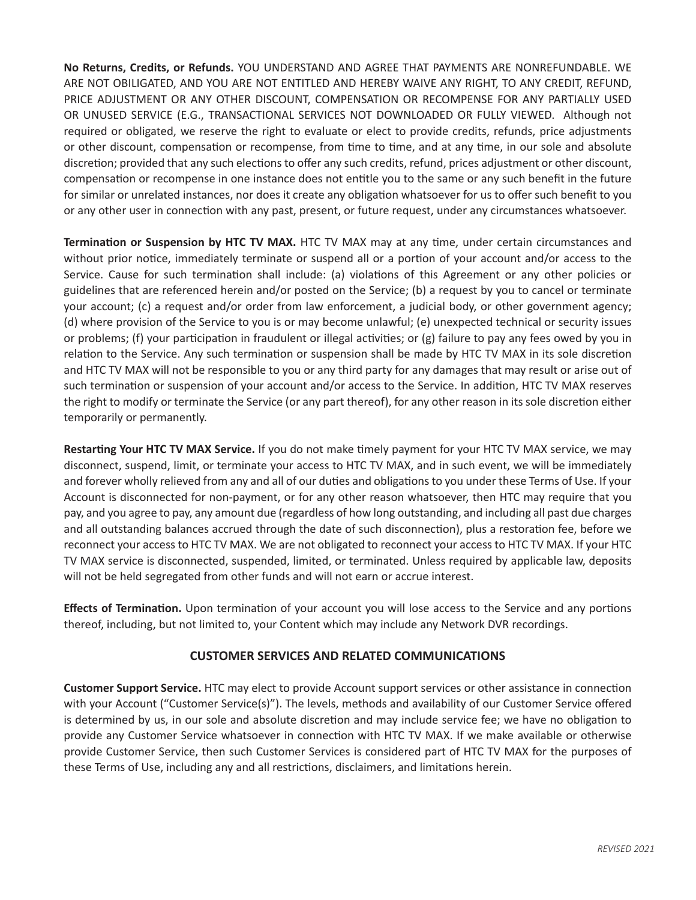**No Returns, Credits, or Refunds.** YOU UNDERSTAND AND AGREE THAT PAYMENTS ARE NONREFUNDABLE. WE ARE NOT OBILIGATED, AND YOU ARE NOT ENTITLED AND HEREBY WAIVE ANY RIGHT, TO ANY CREDIT, REFUND, PRICE ADJUSTMENT OR ANY OTHER DISCOUNT, COMPENSATION OR RECOMPENSE FOR ANY PARTIALLY USED OR UNUSED SERVICE (E.G., TRANSACTIONAL SERVICES NOT DOWNLOADED OR FULLY VIEWED. Although not required or obligated, we reserve the right to evaluate or elect to provide credits, refunds, price adjustments or other discount, compensation or recompense, from time to time, and at any time, in our sole and absolute discretion; provided that any such elections to offer any such credits, refund, prices adjustment or other discount, compensation or recompense in one instance does not entitle you to the same or any such benefit in the future for similar or unrelated instances, nor does it create any obligation whatsoever for us to offer such benefit to you or any other user in connection with any past, present, or future request, under any circumstances whatsoever.

**Termination or Suspension by HTC TV MAX.** HTC TV MAX may at any time, under certain circumstances and without prior notice, immediately terminate or suspend all or a portion of your account and/or access to the Service. Cause for such termination shall include: (a) violations of this Agreement or any other policies or guidelines that are referenced herein and/or posted on the Service; (b) a request by you to cancel or terminate your account; (c) a request and/or order from law enforcement, a judicial body, or other government agency; (d) where provision of the Service to you is or may become unlawful; (e) unexpected technical or security issues or problems; (f) your participation in fraudulent or illegal activities; or (g) failure to pay any fees owed by you in relation to the Service. Any such termination or suspension shall be made by HTC TV MAX in its sole discretion and HTC TV MAX will not be responsible to you or any third party for any damages that may result or arise out of such termination or suspension of your account and/or access to the Service. In addition, HTC TV MAX reserves the right to modify or terminate the Service (or any part thereof), for any other reason in its sole discretion either temporarily or permanently.

**Restarting Your HTC TV MAX Service.** If you do not make timely payment for your HTC TV MAX service, we may disconnect, suspend, limit, or terminate your access to HTC TV MAX, and in such event, we will be immediately and forever wholly relieved from any and all of our duties and obligations to you under these Terms of Use. If your Account is disconnected for non-payment, or for any other reason whatsoever, then HTC may require that you pay, and you agree to pay, any amount due (regardless of how long outstanding, and including all past due charges and all outstanding balances accrued through the date of such disconnection), plus a restoration fee, before we reconnect your access to HTC TV MAX. We are not obligated to reconnect your access to HTC TV MAX. If your HTC TV MAX service is disconnected, suspended, limited, or terminated. Unless required by applicable law, deposits will not be held segregated from other funds and will not earn or accrue interest.

**Effects of Termination.** Upon termination of your account you will lose access to the Service and any portions thereof, including, but not limited to, your Content which may include any Network DVR recordings.

## **CUSTOMER SERVICES AND RELATED COMMUNICATIONS**

**Customer Support Service.** HTC may elect to provide Account support services or other assistance in connection with your Account ("Customer Service(s)"). The levels, methods and availability of our Customer Service offered is determined by us, in our sole and absolute discretion and may include service fee; we have no obligation to provide any Customer Service whatsoever in connection with HTC TV MAX. If we make available or otherwise provide Customer Service, then such Customer Services is considered part of HTC TV MAX for the purposes of these Terms of Use, including any and all restrictions, disclaimers, and limitations herein.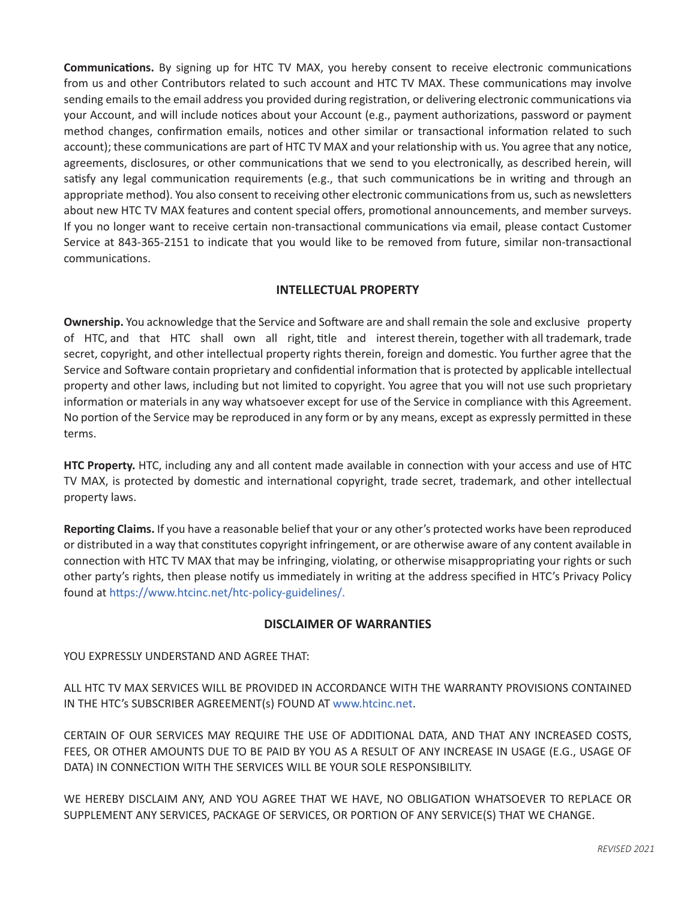**Communications.** By signing up for HTC TV MAX, you hereby consent to receive electronic communications from us and other Contributors related to such account and HTC TV MAX. These communications may involve sending emails to the email address you provided during registration, or delivering electronic communications via your Account, and will include notices about your Account (e.g., payment authorizations, password or payment method changes, confirmation emails, notices and other similar or transactional information related to such account); these communications are part of HTC TV MAX and your relationship with us. You agree that any notice, agreements, disclosures, or other communications that we send to you electronically, as described herein, will satisfy any legal communication requirements (e.g., that such communications be in writing and through an appropriate method). You also consent to receiving other electronic communications from us, such as newsletters about new HTC TV MAX features and content special offers, promotional announcements, and member surveys. If you no longer want to receive certain non-transactional communications via email, please contact Customer Service at 843-365-2151 to indicate that you would like to be removed from future, similar non-transactional communications.

# **INTELLECTUAL PROPERTY**

**Ownership.** You acknowledge that the Service and Software are and shall remain the sole and exclusive property of HTC, and that HTC shall own all right, title and interest therein, together with all trademark, trade secret, copyright, and other intellectual property rights therein, foreign and domestic. You further agree that the Service and Software contain proprietary and confidential information that is protected by applicable intellectual property and other laws, including but not limited to copyright. You agree that you will not use such proprietary information or materials in any way whatsoever except for use of the Service in compliance with this Agreement. No portion of the Service may be reproduced in any form or by any means, except as expressly permitted in these terms.

**HTC Property.** HTC, including any and all content made available in connection with your access and use of HTC TV MAX, is protected by domestic and international copyright, trade secret, trademark, and other intellectual property laws.

**Reporting Claims.** If you have a reasonable belief that your or any other's protected works have been reproduced or distributed in a way that constitutes copyright infringement, or are otherwise aware of any content available in connection with HTC TV MAX that may be infringing, violating, or otherwise misappropriating your rights or such other party's rights, then please notify us immediately in writing at the address specified in HTC's Privacy Policy found at [https://www.htcinc.net/htc-policy-guidelines/.](https://www.htcinc.net/htc-policy-guidelines/)

## **DISCLAIMER OF WARRANTIES**

YOU EXPRESSLY UNDERSTAND AND AGREE THAT:

ALL HTC TV MAX SERVICES WILL BE PROVIDED IN ACCORDANCE WITH THE WARRANTY PROVISIONS CONTAINED IN THE HTC's SUBSCRIBER AGREEMENT(s) FOUND AT [www.htcinc.net](http://www.htcinc.net).

CERTAIN OF OUR SERVICES MAY REQUIRE THE USE OF ADDITIONAL DATA, AND THAT ANY INCREASED COSTS, FEES, OR OTHER AMOUNTS DUE TO BE PAID BY YOU AS A RESULT OF ANY INCREASE IN USAGE (E.G., USAGE OF DATA) IN CONNECTION WITH THE SERVICES WILL BE YOUR SOLE RESPONSIBILITY.

WE HEREBY DISCLAIM ANY, AND YOU AGREE THAT WE HAVE, NO OBLIGATION WHATSOEVER TO REPLACE OR SUPPLEMENT ANY SERVICES, PACKAGE OF SERVICES, OR PORTION OF ANY SERVICE(S) THAT WE CHANGE.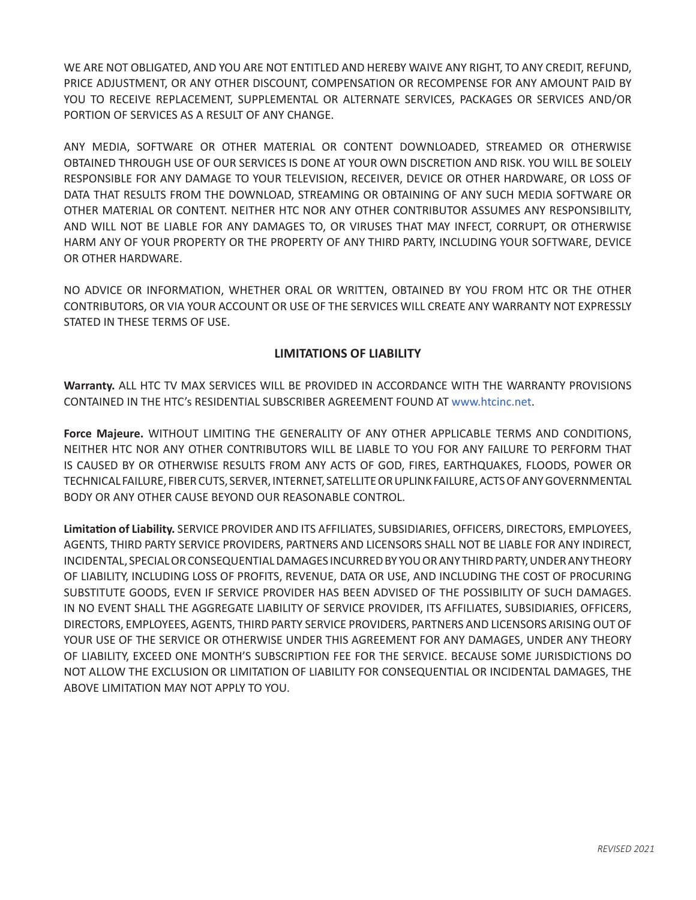WE ARE NOT OBLIGATED, AND YOU ARE NOT ENTITLED AND HEREBY WAIVE ANY RIGHT, TO ANY CREDIT, REFUND, PRICE ADJUSTMENT, OR ANY OTHER DISCOUNT, COMPENSATION OR RECOMPENSE FOR ANY AMOUNT PAID BY YOU TO RECEIVE REPLACEMENT, SUPPLEMENTAL OR ALTERNATE SERVICES, PACKAGES OR SERVICES AND/OR PORTION OF SERVICES AS A RESULT OF ANY CHANGE.

ANY MEDIA, SOFTWARE OR OTHER MATERIAL OR CONTENT DOWNLOADED, STREAMED OR OTHERWISE OBTAINED THROUGH USE OF OUR SERVICES IS DONE AT YOUR OWN DISCRETION AND RISK. YOU WILL BE SOLELY RESPONSIBLE FOR ANY DAMAGE TO YOUR TELEVISION, RECEIVER, DEVICE OR OTHER HARDWARE, OR LOSS OF DATA THAT RESULTS FROM THE DOWNLOAD, STREAMING OR OBTAINING OF ANY SUCH MEDIA SOFTWARE OR OTHER MATERIAL OR CONTENT. NEITHER HTC NOR ANY OTHER CONTRIBUTOR ASSUMES ANY RESPONSIBILITY, AND WILL NOT BE LIABLE FOR ANY DAMAGES TO, OR VIRUSES THAT MAY INFECT, CORRUPT, OR OTHERWISE HARM ANY OF YOUR PROPERTY OR THE PROPERTY OF ANY THIRD PARTY, INCLUDING YOUR SOFTWARE, DEVICE OR OTHER HARDWARE.

NO ADVICE OR INFORMATION, WHETHER ORAL OR WRITTEN, OBTAINED BY YOU FROM HTC OR THE OTHER CONTRIBUTORS, OR VIA YOUR ACCOUNT OR USE OF THE SERVICES WILL CREATE ANY WARRANTY NOT EXPRESSLY STATED IN THESE TERMS OF USE.

# **LIMITATIONS OF LIABILITY**

**Warranty.** ALL HTC TV MAX SERVICES WILL BE PROVIDED IN ACCORDANCE WITH THE WARRANTY PROVISIONS CONTAINED IN THE HTC's RESIDENTIAL SUBSCRIBER AGREEMENT FOUND AT [www.htcinc.net](http://www.htcinc.net).

**Force Majeure.** WITHOUT LIMITING THE GENERALITY OF ANY OTHER APPLICABLE TERMS AND CONDITIONS, NEITHER HTC NOR ANY OTHER CONTRIBUTORS WILL BE LIABLE TO YOU FOR ANY FAILURE TO PERFORM THAT IS CAUSED BY OR OTHERWISE RESULTS FROM ANY ACTS OF GOD, FIRES, EARTHQUAKES, FLOODS, POWER OR TECHNICAL FAILURE, FIBER CUTS, SERVER, INTERNET, SATELLITE OR UPLINK FAILURE, ACTS OF ANY GOVERNMENTAL BODY OR ANY OTHER CAUSE BEYOND OUR REASONABLE CONTROL.

**Limitation of Liability.** SERVICE PROVIDER AND ITS AFFILIATES, SUBSIDIARIES, OFFICERS, DIRECTORS, EMPLOYEES, AGENTS, THIRD PARTY SERVICE PROVIDERS, PARTNERS AND LICENSORS SHALL NOT BE LIABLE FOR ANY INDIRECT, INCIDENTAL, SPECIAL OR CONSEQUENTIAL DAMAGES INCURRED BY YOU OR ANY THIRD PARTY, UNDER ANY THEORY OF LIABILITY, INCLUDING LOSS OF PROFITS, REVENUE, DATA OR USE, AND INCLUDING THE COST OF PROCURING SUBSTITUTE GOODS, EVEN IF SERVICE PROVIDER HAS BEEN ADVISED OF THE POSSIBILITY OF SUCH DAMAGES. IN NO EVENT SHALL THE AGGREGATE LIABILITY OF SERVICE PROVIDER, ITS AFFILIATES, SUBSIDIARIES, OFFICERS, DIRECTORS, EMPLOYEES, AGENTS, THIRD PARTY SERVICE PROVIDERS, PARTNERS AND LICENSORS ARISING OUT OF YOUR USE OF THE SERVICE OR OTHERWISE UNDER THIS AGREEMENT FOR ANY DAMAGES, UNDER ANY THEORY OF LIABILITY, EXCEED ONE MONTH'S SUBSCRIPTION FEE FOR THE SERVICE. BECAUSE SOME JURISDICTIONS DO NOT ALLOW THE EXCLUSION OR LIMITATION OF LIABILITY FOR CONSEQUENTIAL OR INCIDENTAL DAMAGES, THE ABOVE LIMITATION MAY NOT APPLY TO YOU.